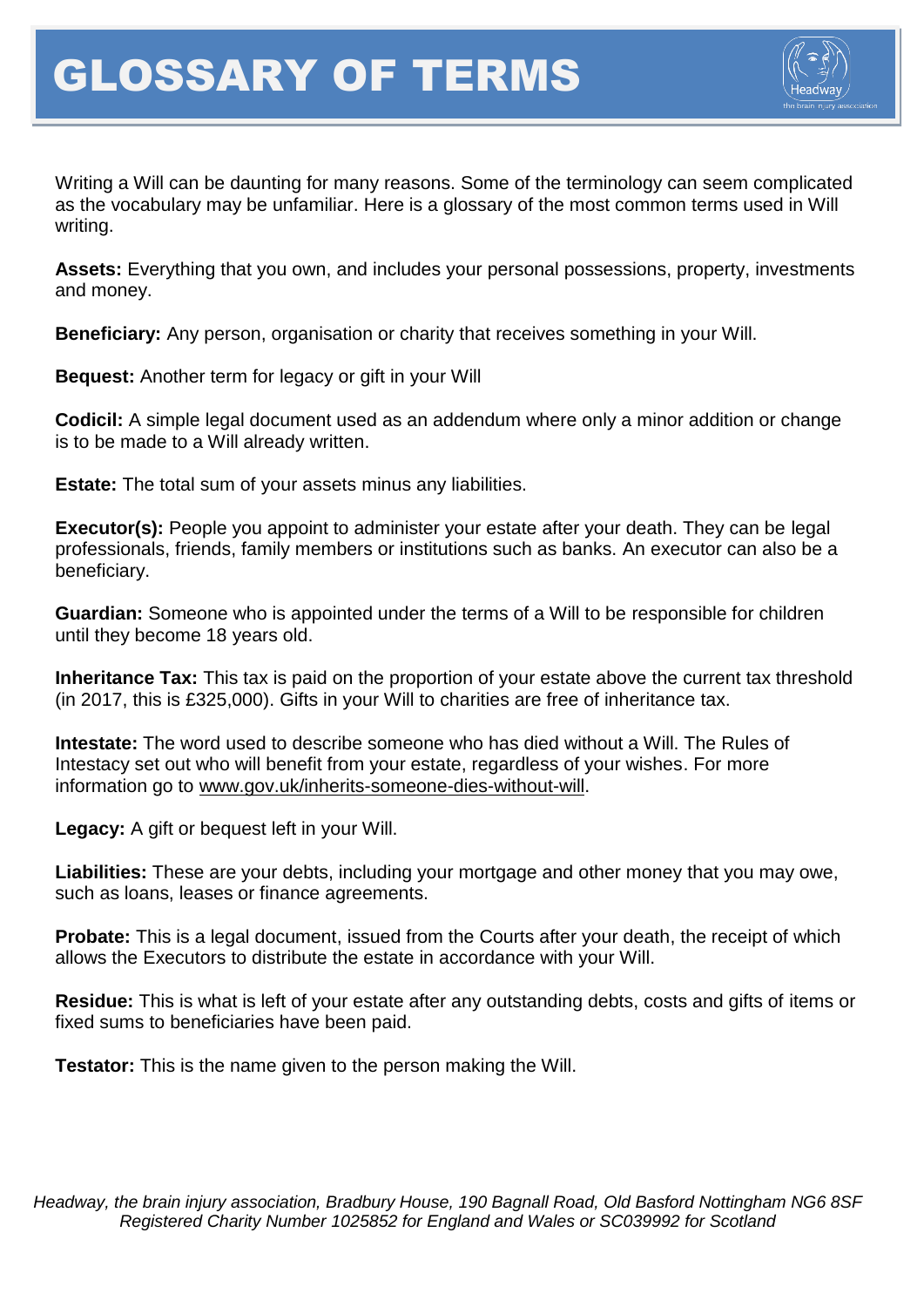

Writing a Will can be daunting for many reasons. Some of the terminology can seem complicated as the vocabulary may be unfamiliar. Here is a glossary of the most common terms used in Will writing.

**Assets:** Everything that you own, and includes your personal possessions, property, investments and money.

**Beneficiary:** Any person, organisation or charity that receives something in your Will.

**Bequest:** Another term for legacy or gift in your Will

**Codicil:** A simple legal document used as an addendum where only a minor addition or change is to be made to a Will already written.

**Estate:** The total sum of your assets minus any liabilities.

**Executor(s):** People you appoint to administer your estate after your death. They can be legal professionals, friends, family members or institutions such as banks. An executor can also be a beneficiary.

**Guardian:** Someone who is appointed under the terms of a Will to be responsible for children until they become 18 years old.

**Inheritance Tax:** This tax is paid on the proportion of your estate above the current tax threshold (in 2017, this is £325,000). Gifts in your Will to charities are free of inheritance tax.

**Intestate:** The word used to describe someone who has died without a Will. The Rules of Intestacy set out who will benefit from your estate, regardless of your wishes. For more information go to [www.gov.uk/inherits-someone-dies-without-will.](http://www.gov.uk/inherits-someone-dies-without-will)

**Legacy:** A gift or bequest left in your Will.

**Liabilities:** These are your debts, including your mortgage and other money that you may owe, such as loans, leases or finance agreements.

**Probate:** This is a legal document, issued from the Courts after your death, the receipt of which allows the Executors to distribute the estate in accordance with your Will.

**Residue:** This is what is left of your estate after any outstanding debts, costs and gifts of items or fixed sums to beneficiaries have been paid.

**Testator:** This is the name given to the person making the Will.